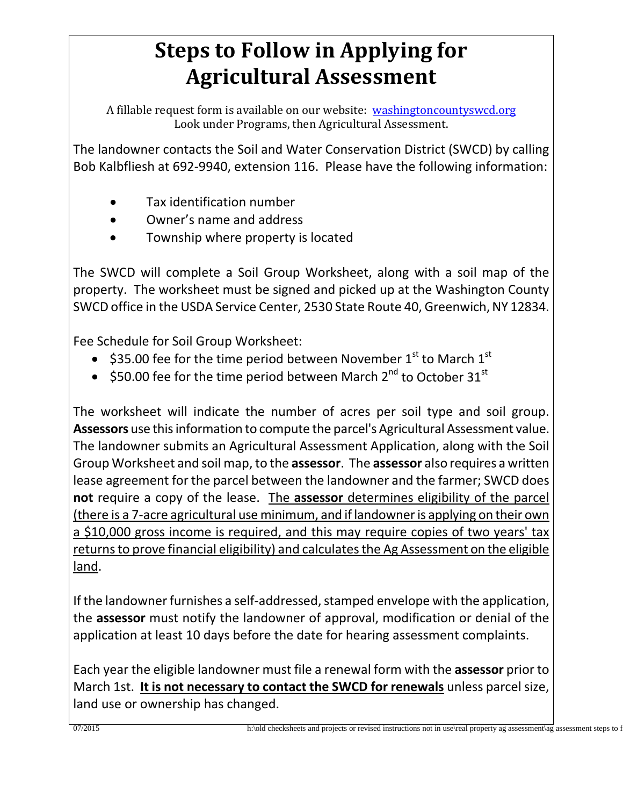## **Steps to Follow in Applying for Agricultural Assessment**

A fillable request form is available on our website: washingtoncountyswcd.org Look under Programs, then Agricultural Assessment.

The landowner contacts the Soil and Water Conservation District (SWCD) by calling Bob Kalbfliesh at 692-9940, extension 116. Please have the following information:

- Tax identification number
- Owner's name and address
- Township where property is located

The SWCD will complete a Soil Group Worksheet, along with a soil map of the property. The worksheet must be signed and picked up at the Washington County SWCD office in the USDA Service Center, 2530 State Route 40, Greenwich, NY 12834.

Fee Schedule for Soil Group Worksheet:

- \$35.00 fee for the time period between November  $1<sup>st</sup>$  to March  $1<sup>st</sup>$
- \$50.00 fee for the time period between March  $2^{nd}$  to October 31st

The worksheet will indicate the number of acres per soil type and soil group. **Assessors** use this information to compute the parcel's Agricultural Assessment value. The landowner submits an Agricultural Assessment Application, along with the Soil Group Worksheet and soil map, to the **assessor**. The **assessor** also requires a written lease agreement for the parcel between the landowner and the farmer; SWCD does **not** require a copy of the lease. The **assessor** determines eligibility of the parcel (there is a 7-acre agricultural use minimum, and if landowner is applying on their own a \$10,000 gross income is required, and this may require copies of two years' tax returns to prove financial eligibility) and calculates the Ag Assessment on the eligible land.

If the landowner furnishes a self-addressed, stamped envelope with the application, the **assessor** must notify the landowner of approval, modification or denial of the application at least 10 days before the date for hearing assessment complaints.

Each year the eligible landowner must file a renewal form with the **assessor** prior to March 1st. **It is not necessary to contact the SWCD for renewals** unless parcel size, land use or ownership has changed.